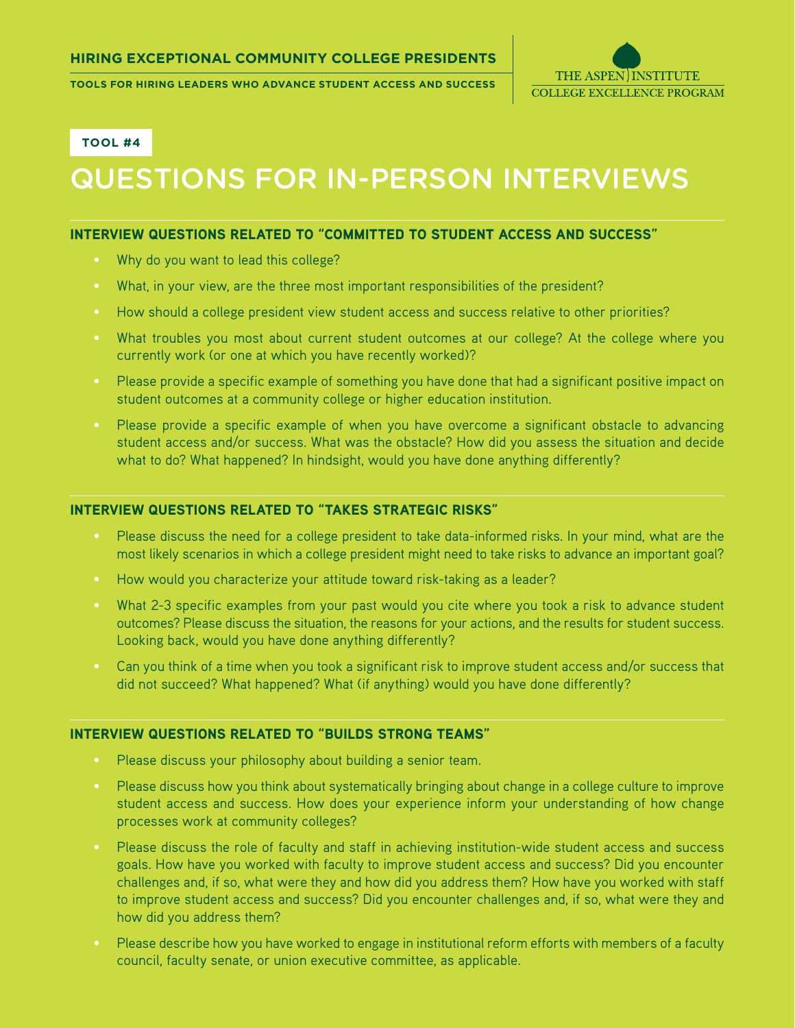**Tools for Hiring Leaders who advance Student Access and Success**



**Tool #4**

# Questions for In-Person Interviews

#### Interview questions related to "Committed to Student Access and Success"

- Why do you want to lead this college?
- What, in your view, are the three most important responsibilities of the president?
- How should a college president view student access and success relative to other priorities?
- What troubles you most about current student outcomes at our college? At the college where you currently work (or one at which you have recently worked)?
- Please provide a specific example of something you have done that had a significant positive impact on student outcomes at a community college or higher education institution.
- Please provide a specific example of when you have overcome a significant obstacle to advancing student access and/or success. What was the obstacle? How did you assess the situation and decide what to do? What happened? In hindsight, would you have done anything differently?

#### Interview questions related to "Takes Strategic Risks"

- Please discuss the need for a college president to take data-informed risks. In your mind, what are the most likely scenarios in which a college president might need to take risks to advance an important goal?
- How would you characterize your attitude toward risk-taking as a leader?
- What 2-3 specific examples from your past would you cite where you took a risk to advance student outcomes? Please discuss the situation, the reasons for your actions, and the results for student success. Looking back, would you have done anything differently?
- Can you think of a time when you took a significant risk to improve student access and/or success that did not succeed? What happened? What (if anything) would you have done differently?

#### Interview questions related to "Builds Strong Teams"

- Please discuss your philosophy about building a senior team.
- Please discuss how you think about systematically bringing about change in a college culture to improve student access and success. How does your experience inform your understanding of how change processes work at community colleges?
- Please discuss the role of faculty and staff in achieving institution-wide student access and success goals. How have you worked with faculty to improve student access and success? Did you encounter challenges and, if so, what were they and how did you address them? How have you worked with staff to improve student access and success? Did you encounter challenges and, if so, what were they and how did you address them?
- Please describe how you have worked to engage in institutional reform efforts with members of a faculty council, faculty senate, or union executive committee, as applicable.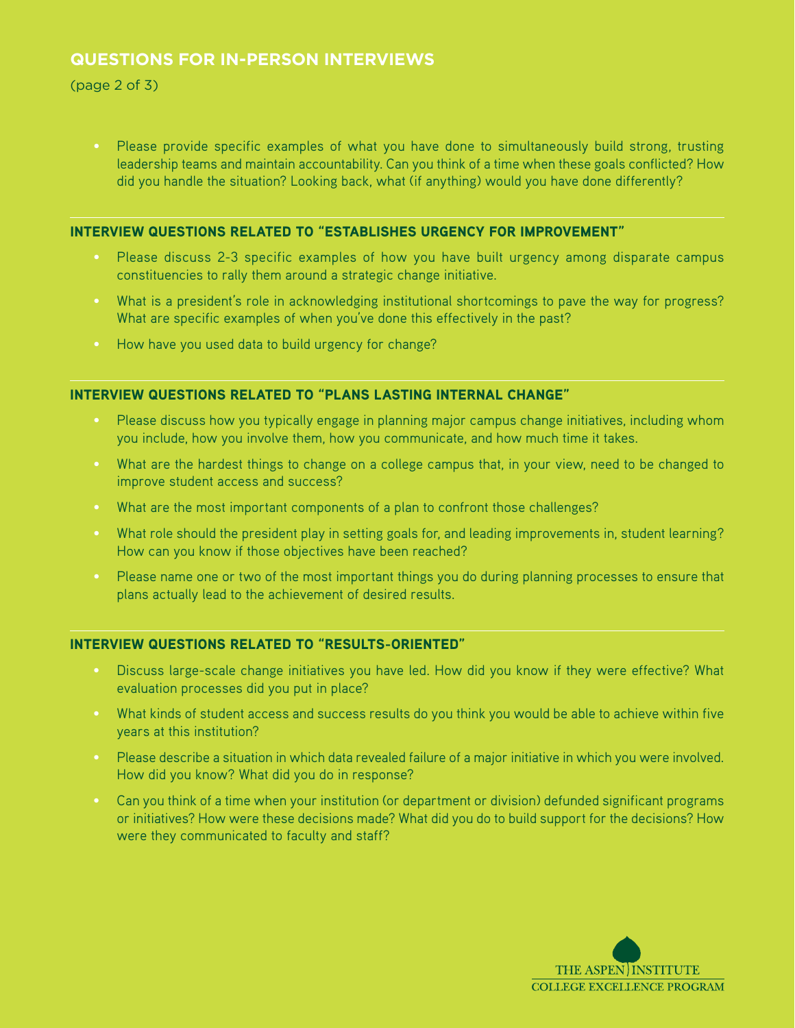# **Questions for In-Person Interviews**

(page 2 of 3)

• Please provide specific examples of what you have done to simultaneously build strong, trusting leadership teams and maintain accountability. Can you think of a time when these goals conflicted? How did you handle the situation? Looking back, what (if anything) would you have done differently?

## Interview questions related to "Establishes Urgency for Improvement"

- Please discuss 2-3 specific examples of how you have built urgency among disparate campus constituencies to rally them around a strategic change initiative.
- What is a president's role in acknowledging institutional shortcomings to pave the way for progress? What are specific examples of when you've done this effectively in the past?
- How have you used data to build urgency for change?

# Interview questions related to "Plans Lasting Internal Change"

- Please discuss how you typically engage in planning major campus change initiatives, including whom you include, how you involve them, how you communicate, and how much time it takes.
- What are the hardest things to change on a college campus that, in your view, need to be changed to improve student access and success?
- What are the most important components of a plan to confront those challenges?
- What role should the president play in setting goals for, and leading improvements in, student learning? How can you know if those objectives have been reached?
- Please name one or two of the most important things you do during planning processes to ensure that plans actually lead to the achievement of desired results.

# Interview questions related to "Results-Oriented"

- Discuss large-scale change initiatives you have led. How did you know if they were effective? What evaluation processes did you put in place?
- What kinds of student access and success results do you think you would be able to achieve within five years at this institution?
- Please describe a situation in which data revealed failure of a major initiative in which you were involved. How did you know? What did you do in response?
- Can you think of a time when your institution (or department or division) defunded significant programs or initiatives? How were these decisions made? What did you do to build support for the decisions? How were they communicated to faculty and staff?